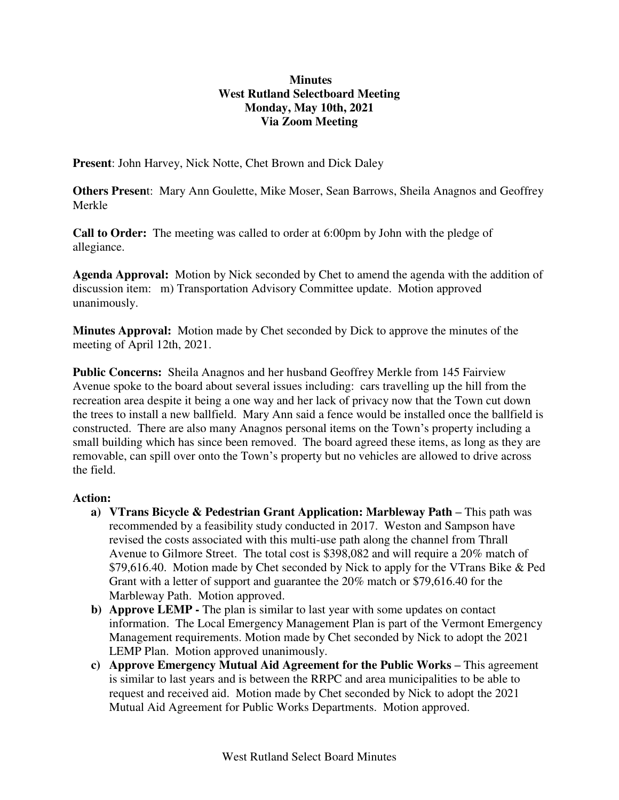## **Minutes West Rutland Selectboard Meeting Monday, May 10th, 2021 Via Zoom Meeting**

**Present**: John Harvey, Nick Notte, Chet Brown and Dick Daley

**Others Presen**t: Mary Ann Goulette, Mike Moser, Sean Barrows, Sheila Anagnos and Geoffrey Merkle

**Call to Order:** The meeting was called to order at 6:00pm by John with the pledge of allegiance.

**Agenda Approval:** Motion by Nick seconded by Chet to amend the agenda with the addition of discussion item: m) Transportation Advisory Committee update. Motion approved unanimously.

**Minutes Approval:** Motion made by Chet seconded by Dick to approve the minutes of the meeting of April 12th, 2021.

**Public Concerns:** Sheila Anagnos and her husband Geoffrey Merkle from 145 Fairview Avenue spoke to the board about several issues including: cars travelling up the hill from the recreation area despite it being a one way and her lack of privacy now that the Town cut down the trees to install a new ballfield. Mary Ann said a fence would be installed once the ballfield is constructed. There are also many Anagnos personal items on the Town's property including a small building which has since been removed. The board agreed these items, as long as they are removable, can spill over onto the Town's property but no vehicles are allowed to drive across the field.

## **Action:**

- **a) VTrans Bicycle & Pedestrian Grant Application: Marbleway Path –** This path was recommended by a feasibility study conducted in 2017. Weston and Sampson have revised the costs associated with this multi-use path along the channel from Thrall Avenue to Gilmore Street. The total cost is \$398,082 and will require a 20% match of \$79,616.40. Motion made by Chet seconded by Nick to apply for the VTrans Bike & Ped Grant with a letter of support and guarantee the 20% match or \$79,616.40 for the Marbleway Path. Motion approved.
- **b) Approve LEMP** The plan is similar to last year with some updates on contact information. The Local Emergency Management Plan is part of the Vermont Emergency Management requirements. Motion made by Chet seconded by Nick to adopt the 2021 LEMP Plan. Motion approved unanimously.
- **c) Approve Emergency Mutual Aid Agreement for the Public Works This agreement** is similar to last years and is between the RRPC and area municipalities to be able to request and received aid. Motion made by Chet seconded by Nick to adopt the 2021 Mutual Aid Agreement for Public Works Departments. Motion approved.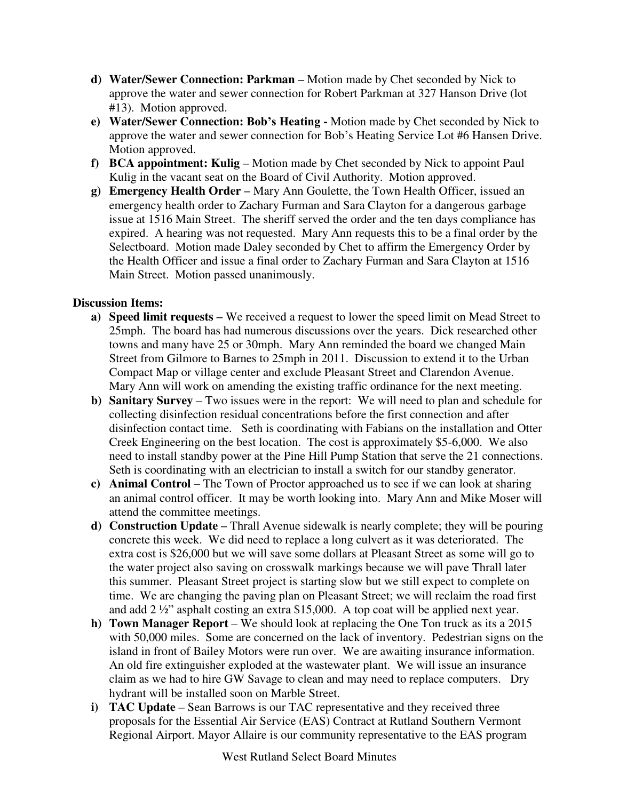- **d) Water/Sewer Connection: Parkman –** Motion made by Chet seconded by Nick to approve the water and sewer connection for Robert Parkman at 327 Hanson Drive (lot #13). Motion approved.
- **e) Water/Sewer Connection: Bob's Heating** Motion made by Chet seconded by Nick to approve the water and sewer connection for Bob's Heating Service Lot #6 Hansen Drive. Motion approved.
- **f) BCA appointment: Kulig –** Motion made by Chet seconded by Nick to appoint Paul Kulig in the vacant seat on the Board of Civil Authority. Motion approved.
- **g) Emergency Health Order –** Mary Ann Goulette, the Town Health Officer, issued an emergency health order to Zachary Furman and Sara Clayton for a dangerous garbage issue at 1516 Main Street. The sheriff served the order and the ten days compliance has expired. A hearing was not requested. Mary Ann requests this to be a final order by the Selectboard. Motion made Daley seconded by Chet to affirm the Emergency Order by the Health Officer and issue a final order to Zachary Furman and Sara Clayton at 1516 Main Street. Motion passed unanimously.

## **Discussion Items:**

- **a) Speed limit requests –** We received a request to lower the speed limit on Mead Street to 25mph. The board has had numerous discussions over the years. Dick researched other towns and many have 25 or 30mph. Mary Ann reminded the board we changed Main Street from Gilmore to Barnes to 25mph in 2011. Discussion to extend it to the Urban Compact Map or village center and exclude Pleasant Street and Clarendon Avenue. Mary Ann will work on amending the existing traffic ordinance for the next meeting.
- **b) Sanitary Survey**  Two issues were in the report: We will need to plan and schedule for collecting disinfection residual concentrations before the first connection and after disinfection contact time. Seth is coordinating with Fabians on the installation and Otter Creek Engineering on the best location. The cost is approximately \$5-6,000. We also need to install standby power at the Pine Hill Pump Station that serve the 21 connections. Seth is coordinating with an electrician to install a switch for our standby generator.
- **c) Animal Control**  The Town of Proctor approached us to see if we can look at sharing an animal control officer. It may be worth looking into. Mary Ann and Mike Moser will attend the committee meetings.
- **d) Construction Update –** Thrall Avenue sidewalk is nearly complete; they will be pouring concrete this week. We did need to replace a long culvert as it was deteriorated. The extra cost is \$26,000 but we will save some dollars at Pleasant Street as some will go to the water project also saving on crosswalk markings because we will pave Thrall later this summer. Pleasant Street project is starting slow but we still expect to complete on time. We are changing the paving plan on Pleasant Street; we will reclaim the road first and add 2 ½" asphalt costing an extra \$15,000. A top coat will be applied next year.
- **h) Town Manager Report** We should look at replacing the One Ton truck as its a 2015 with 50,000 miles. Some are concerned on the lack of inventory. Pedestrian signs on the island in front of Bailey Motors were run over. We are awaiting insurance information. An old fire extinguisher exploded at the wastewater plant. We will issue an insurance claim as we had to hire GW Savage to clean and may need to replace computers. Dry hydrant will be installed soon on Marble Street.
- **i) TAC Update** Sean Barrows is our TAC representative and they received three proposals for the Essential Air Service (EAS) Contract at Rutland Southern Vermont Regional Airport. Mayor Allaire is our community representative to the EAS program